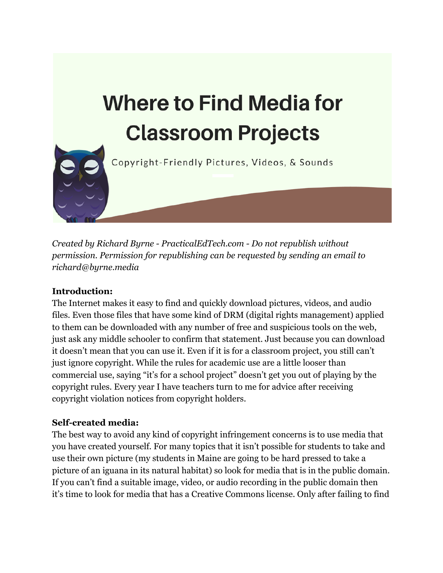

*Created by Richard Byrne - PracticalEdTech.com - Do not republish without permission. Permission for republishing can be requested by sending an email to richard@byrne.media*

#### **Introduction:**

The Internet makes it easy to find and quickly download pictures, videos, and audio files. Even those files that have some kind of DRM (digital rights management) applied to them can be downloaded with any number of free and suspicious tools on the web, just ask any middle schooler to confirm that statement. Just because you can download it doesn't mean that you can use it. Even if it is for a classroom project, you still can't just ignore copyright. While the rules for academic use are a little looser than commercial use, saying "it's for a school project" doesn't get you out of playing by the copyright rules. Every year I have teachers turn to me for advice after receiving copyright violation notices from copyright holders.

### **Self-created media:**

The best way to avoid any kind of copyright infringement concerns is to use media that you have created yourself. For many topics that it isn't possible for students to take and use their own picture (my students in Maine are going to be hard pressed to take a picture of an iguana in its natural habitat) so look for media that is in the public domain. If you can't find a suitable image, video, or audio recording in the public domain then it's time to look for media that has a Creative Commons license. Only after failing to find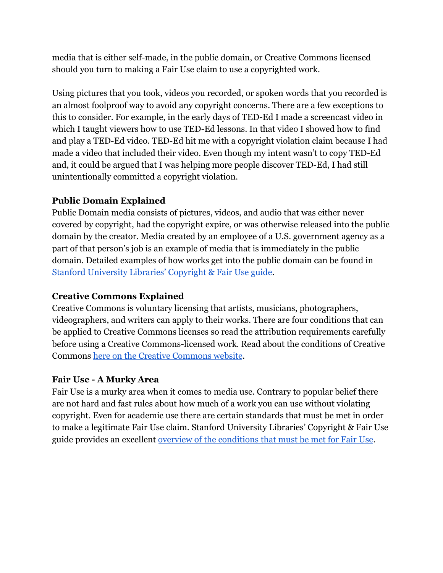media that is either self-made, in the public domain, or Creative Commons licensed should you turn to making a Fair Use claim to use a copyrighted work.

Using pictures that you took, videos you recorded, or spoken words that you recorded is an almost foolproof way to avoid any copyright concerns. There are a few exceptions to this to consider. For example, in the early days of TED-Ed I made a screencast video in which I taught viewers how to use TED-Ed lessons. In that video I showed how to find and play a TED-Ed video. TED-Ed hit me with a copyright violation claim because I had made a video that included their video. Even though my intent wasn't to copy TED-Ed and, it could be argued that I was helping more people discover TED-Ed, I had still unintentionally committed a copyright violation.

### **Public Domain Explained**

Public Domain media consists of pictures, videos, and audio that was either never covered by copyright, had the copyright expire, or was otherwise released into the public domain by the creator. Media created by an employee of a U.S. government agency as a part of that person's job is an example of media that is immediately in the public domain. Detailed examples of how works get into the public domain can be found in [Stanford University Libraries' Copyright & Fair Use guide](https://fairuse.stanford.edu/overview/public-domain/welcome/).

### **Creative Commons Explained**

Creative Commons is voluntary licensing that artists, musicians, photographers, videographers, and writers can apply to their works. There are four conditions that can be applied to Creative Commons licenses so read the attribution requirements carefully before using a Creative Commons-licensed work. Read about the conditions of Creative Commons [here on the Creative Commons website](https://creativecommons.org/share-your-work/licensing-types-examples/).

### **Fair Use - A Murky Area**

Fair Use is a murky area when it comes to media use. Contrary to popular belief there are not hard and fast rules about how much of a work you can use without violating copyright. Even for academic use there are certain standards that must be met in order to make a legitimate Fair Use claim. Stanford University Libraries' Copyright & Fair Use guide provides an excellent overview of the conditions [that must be met for Fair Use](https://fairuse.stanford.edu/overview/fair-use/four-factors/).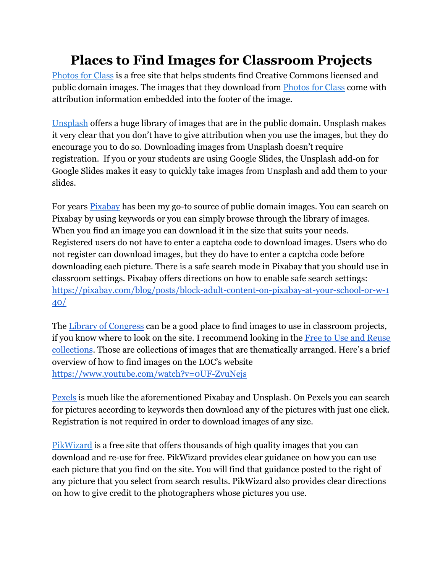# **Places to Find Images for Classroom Projects**

[Photos for Class](http://photosforclass.com/) is a free site that helps students find Creative Commons licensed and public domain images. The images that they download from [Photos for Class](http://photosforclass.com/) come with attribution information embedded into the footer of the image.

[Unsplash](https://unsplash.com/) offers a huge library of images that are in the public domain. Unsplash makes it very clear that you don't have to give attribution when you use the images, but they do encourage you to do so. Downloading images from Unsplash doesn't require registration. If you or your students are using Google Slides, the Unsplash add-on for Google Slides makes it easy to quickly take images from Unsplash and add them to your slides.

For years [Pixabay](http://pixabay.com) has been my go-to source of public domain images. You can search on Pixabay by using keywords or you can simply browse through the library of images. When you find an image you can download it in the size that suits your needs. Registered users do not have to enter a captcha code to download images. Users who do not register can download images, but they do have to enter a captcha code before downloading each picture. There is a safe search mode in Pixabay that you should use in classroom settings. Pixabay offers directions on how to enable safe search settings: [https://pixabay.com/blog/posts/block-adult-content-on-pixabay-at-your-school-or-w-1](https://pixabay.com/blog/posts/block-adult-content-on-pixabay-at-your-school-or-w-140/) [40/](https://pixabay.com/blog/posts/block-adult-content-on-pixabay-at-your-school-or-w-140/)

The [Library of Congress](http://loc.gov) can be a good place to find images to use in classroom projects, if you know where to look on the site. I recommend looking in the [Free to Use and Reuse](https://www.loc.gov/free-to-use/) [collections](https://www.loc.gov/free-to-use/). Those are collections of images that are thematically arranged. Here's a brief overview of how to find images on the LOC's website <https://www.youtube.com/watch?v=0UF-ZvuNejs>

[Pexels](https://www.pexels.com/) is much like the aforementioned Pixabay and Unsplash. On Pexels you can search for pictures according to keywords then download any of the pictures with just one click. Registration is not required in order to download images of any size.

[PikWizard](https://pikwizard.com/) is a free site that offers thousands of high quality images that you can download and re-use for free. PikWizard provides clear guidance on how you can use each picture that you find on the site. You will find that guidance posted to the right of any picture that you select from search results. PikWizard also provides clear directions on how to give credit to the photographers whose pictures you use.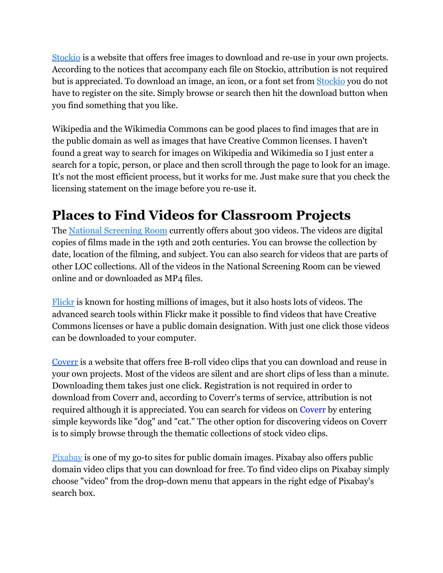[Stockio](https://www.stockio.com/) is a website that offers free images to download and re-use in your own projects. According to the notices that accompany each file on Stockio, attribution is not required but is appreciated. To download an image, an icon, or a font set from [Stockio](https://www.stockio.com/) you do not have to register on the site. Simply browse or search then hit the download button when you find something that you like.

Wikipedia and the Wikimedia Commons can be good places to find images that are in the public domain as well as images that have Creative Common licenses. I haven't found a great way to search for images on Wikipedia and Wikimedia so I just enter a search for a topic, person, or place and then scroll through the page to look for an image. It's not the most efficient process, but it works for me. Just make sure that you check the licensing statement on the image before you re-use it.

## **Places to Find Videos for Classroom Projects**

The [National Screening Room](https://www.loc.gov/collections/national-screening-room/) currently offers about 300 videos. The videos are digital copies of films made in the 19th and 20th centuries. You can browse the collection by date, location of the filming, and subject. You can also search for videos that are parts of other LOC collections. All of the videos in the National Screening Room can be viewed online and or downloaded as MP4 files.

[Flickr](http://flickr.com/) is known for hosting millions of images, but it also hosts lots of videos. The advanced search tools within Flickr make it possible to find videos that have Creative Commons licenses or have a public domain designation. With just one click those videos can be downloaded to your computer.

[Coverr](https://coverr.co/) is a website that offers free B-roll video clips that you can download and reuse in your own projects. Most of the videos are silent and are short clips of less than a minute. Downloading them takes just one click. Registration is not required in order to download from Coverr and, according to Coverr's terms of service, attribution is not required although it is appreciated. You can search for videos on [Coverr](https://coverr.co/) by entering simple keywords like "dog" and "cat." The other option for discovering videos on Coverr is to simply browse through the thematic collections of stock video clips.

[Pixabay](http://pixabay.com/) is one of my go-to sites for public domain images. Pixabay also offers public domain video clips that you can download for free. To find video clips on Pixabay simply choose "video" from the drop-down menu that appears in the right edge of Pixabay's search box.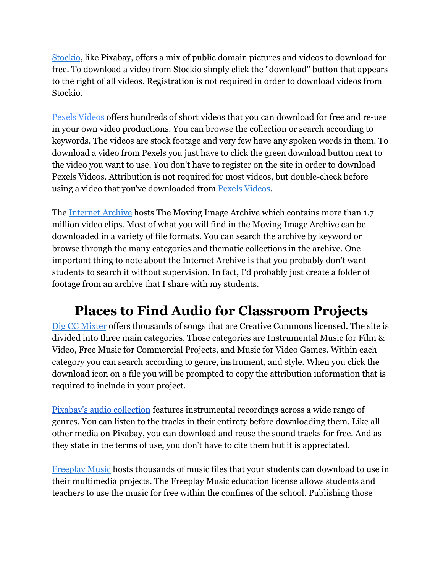[Stockio](http://stockio.com/), like Pixabay, offers a mix of public domain pictures and videos to download for free. To download a video from Stockio simply click the "download" button that appears to the right of all videos. Registration is not required in order to download videos from Stockio.

[Pexels Videos](https://videos.pexels.com/) offers hundreds of short videos that you can download for free and re-use in your own video productions. You can browse the collection or search according to keywords. The videos are stock footage and very few have any spoken words in them. To download a video from Pexels you just have to click the green download button next to the video you want to use. You don't have to register on the site in order to download Pexels Videos. Attribution is not required for most videos, but double-check before using a video that you've downloaded from [Pexels Videos.](https://videos.pexels.com/)

The [Internet Archive](http://archive.org/) hosts The Moving Image Archive which contains more than 1.7 million video clips. Most of what you will find in the Moving Image Archive can be downloaded in a variety of file formats. You can search the archive by keyword or browse through the many categories and thematic collections in the archive. One important thing to note about the Internet Archive is that you probably don't want students to search it without supervision. In fact, I'd probably just create a folder of footage from an archive that I share with my students.

# **Places to Find Audio for Classroom Projects**

[Dig CC Mixter](http://dig.ccmixter.org/) offers thousands of songs that are Creative Commons licensed. The site is divided into three main categories. Those categories are Instrumental Music for Film & Video, Free Music for Commercial Projects, and Music for Video Games. Within each category you can search according to genre, instrument, and style. When you click the download icon on a file you will be prompted to copy the attribution information that is required to include in your project.

[Pixabay's audio collection](https://pixabay.com/music/) features instrumental recordings across a wide range of genres. You can listen to the tracks in their entirety before downloading them. Like all other media on Pixabay, you can download and reuse the sound tracks for free. And as they state in the terms of use, you don't have to cite them but it is appreciated.

[Freeplay Music](http://freeplaymusic.com/index.aspx) hosts thousands of music files that your students can download to use in their multimedia projects. The Freeplay Music education license allows students and teachers to use the music for free within the confines of the school. Publishing those